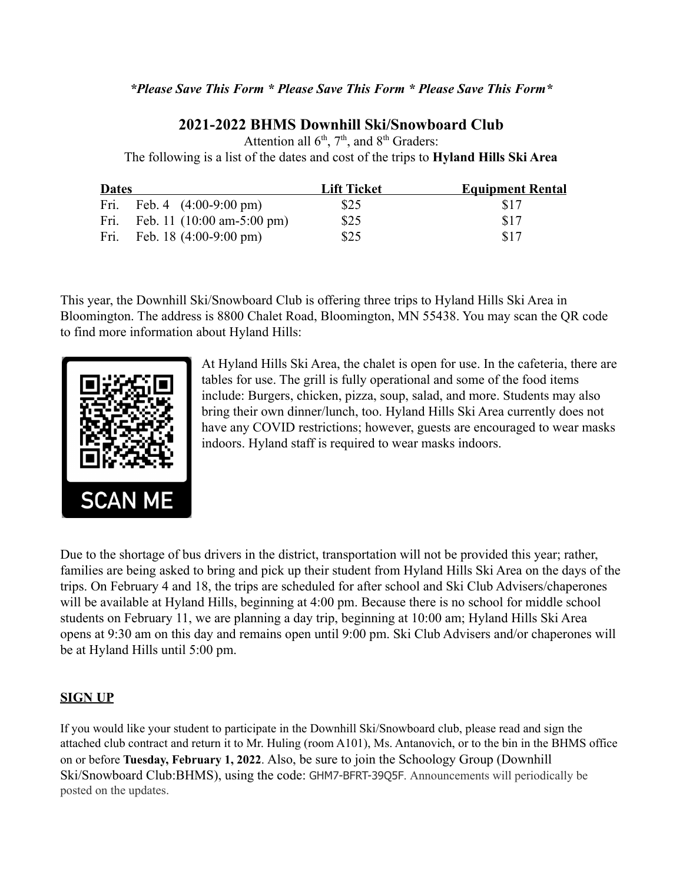### *\*Please Save This Form \* Please Save This Form \* Please Save This Form\**

# **2021-2022 BHMS Downhill Ski/Snowboard Club**

Attention all  $6<sup>th</sup>$ ,  $7<sup>th</sup>$ , and  $8<sup>th</sup>$  Graders: The following is a list of the dates and cost of the trips to **Hyland Hills Ski Area**

| <b>Dates</b> |                                                   | <b>Lift Ticket</b> | <b>Equipment Rental</b> |
|--------------|---------------------------------------------------|--------------------|-------------------------|
|              | Fri. Feb. 4 $(4:00-9:00 \text{ pm})$              | \$25               | <b>S17</b>              |
|              | Fri. Feb. 11 $(10:00 \text{ am}-5:00 \text{ pm})$ | \$25               | \$17                    |
|              | Fri. Feb. 18 $(4:00-9:00 \text{ pm})$             | \$25               | \$17                    |

This year, the Downhill Ski/Snowboard Club is offering three trips to Hyland Hills Ski Area in Bloomington. The address is 8800 Chalet Road, Bloomington, MN 55438. You may scan the QR code to find more information about Hyland Hills:



At Hyland Hills Ski Area, the chalet is open for use. In the cafeteria, there are tables for use. The grill is fully operational and some of the food items include: Burgers, chicken, pizza, soup, salad, and more. Students may also bring their own dinner/lunch, too. Hyland Hills Ski Area currently does not have any COVID restrictions; however, guests are encouraged to wear masks indoors. Hyland staff is required to wear masks indoors.

Due to the shortage of bus drivers in the district, transportation will not be provided this year; rather, families are being asked to bring and pick up their student from Hyland Hills Ski Area on the days of the trips. On February 4 and 18, the trips are scheduled for after school and Ski Club Advisers/chaperones will be available at Hyland Hills, beginning at 4:00 pm. Because there is no school for middle school students on February 11, we are planning a day trip, beginning at 10:00 am; Hyland Hills Ski Area opens at 9:30 am on this day and remains open until 9:00 pm. Ski Club Advisers and/or chaperones will be at Hyland Hills until 5:00 pm.

#### **SIGN UP**

If you would like your student to participate in the Downhill Ski/Snowboard club, please read and sign the attached club contract and return it to Mr. Huling (room A101), Ms. Antanovich, or to the bin in the BHMS office on or before **Tuesday, February 1, 2022**. Also, be sure to join the Schoology Group (Downhill Ski/Snowboard Club:BHMS), using the code: GHM7-BFRT-39Q5F. Announcements will periodically be posted on the updates.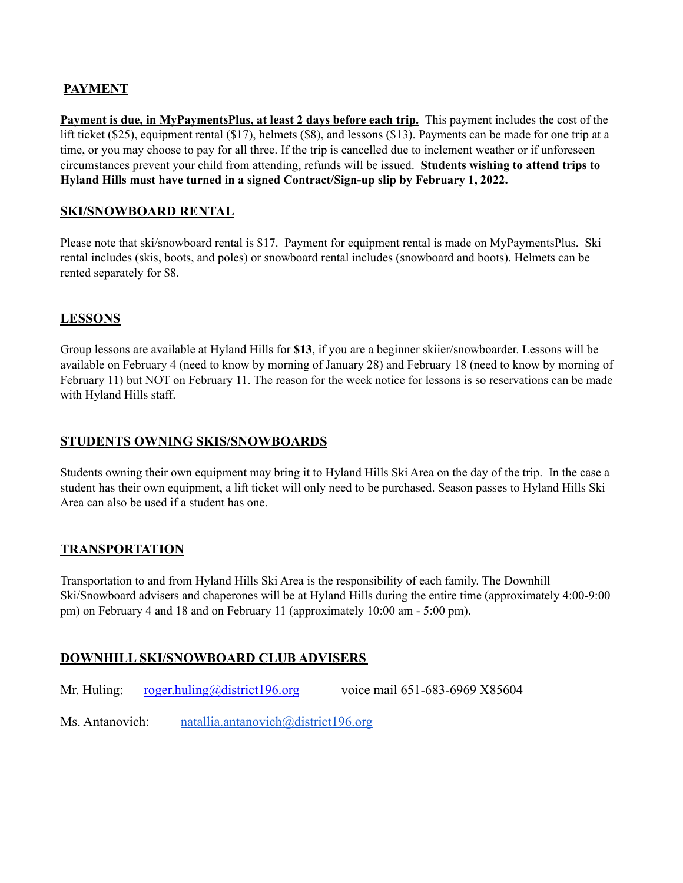# **PAYMENT**

**Payment is due, in MyPaymentsPlus, at least 2 days before each trip.** This payment includes the cost of the lift ticket (\$25), equipment rental (\$17), helmets (\$8), and lessons (\$13). Payments can be made for one trip at a time, or you may choose to pay for all three. If the trip is cancelled due to inclement weather or if unforeseen circumstances prevent your child from attending, refunds will be issued. **Students wishing to attend trips to Hyland Hills must have turned in a signed Contract/Sign-up slip by February 1, 2022.**

### **SKI/SNOWBOARD RENTAL**

Please note that ski/snowboard rental is \$17. Payment for equipment rental is made on MyPaymentsPlus. Ski rental includes (skis, boots, and poles) or snowboard rental includes (snowboard and boots). Helmets can be rented separately for \$8.

# **LESSONS**

Group lessons are available at Hyland Hills for **\$13**, if you are a beginner skiier/snowboarder. Lessons will be available on February 4 (need to know by morning of January 28) and February 18 (need to know by morning of February 11) but NOT on February 11. The reason for the week notice for lessons is so reservations can be made with Hyland Hills staff.

### **STUDENTS OWNING SKIS/SNOWBOARDS**

Students owning their own equipment may bring it to Hyland Hills Ski Area on the day of the trip. In the case a student has their own equipment, a lift ticket will only need to be purchased. Season passes to Hyland Hills Ski Area can also be used if a student has one.

### **TRANSPORTATION**

Transportation to and from Hyland Hills Ski Area is the responsibility of each family. The Downhill Ski/Snowboard advisers and chaperones will be at Hyland Hills during the entire time (approximately 4:00-9:00 pm) on February 4 and 18 and on February 11 (approximately 10:00 am - 5:00 pm).

### **DOWNHILL SKI/SNOWBOARD CLUB ADVISERS**

Mr. Huling: [roger.huling@district196.org](mailto:roger.huling@district196.org) voice mail 651-683-6969 X85604

Ms. Antanovich: [natallia.antanovich@district196.org](mailto:natallia.antanovich@district196.org)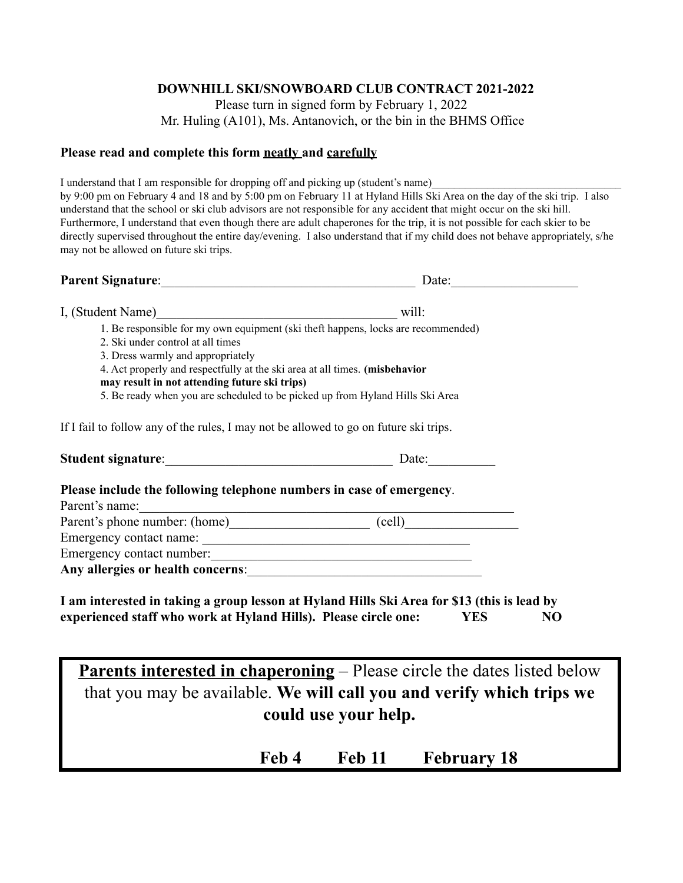#### **DOWNHILL SKI/SNOWBOARD CLUB CONTRACT 2021-2022**

Please turn in signed form by February 1, 2022 Mr. Huling (A101), Ms. Antanovich, or the bin in the BHMS Office

#### **Please read and complete this form neatly and carefully**

I understand that I am responsible for dropping off and picking up (student's name) by 9:00 pm on February 4 and 18 and by 5:00 pm on February 11 at Hyland Hills Ski Area on the day of the ski trip. I also understand that the school or ski club advisors are not responsible for any accident that might occur on the ski hill. Furthermore, I understand that even though there are adult chaperones for the trip, it is not possible for each skier to be directly supervised throughout the entire day/evening. I also understand that if my child does not behave appropriately, s/he may not be allowed on future ski trips.

| Parent Signature: 1988 and 1989 and 1989 and 1989 and 1989 and 1989 and 1989 and 1989 and 1989 and 1989 and 19                                                                                                                      | Date: $\qquad \qquad$                                  |  |
|-------------------------------------------------------------------------------------------------------------------------------------------------------------------------------------------------------------------------------------|--------------------------------------------------------|--|
| I, (Student Name) will:                                                                                                                                                                                                             |                                                        |  |
| 1. Be responsible for my own equipment (ski theft happens, locks are recommended)                                                                                                                                                   |                                                        |  |
| 2. Ski under control at all times                                                                                                                                                                                                   |                                                        |  |
| 3. Dress warmly and appropriately                                                                                                                                                                                                   |                                                        |  |
| 4. Act properly and respectfully at the ski area at all times. (misbehavior<br>may result in not attending future ski trips)                                                                                                        |                                                        |  |
| 5. Be ready when you are scheduled to be picked up from Hyland Hills Ski Area                                                                                                                                                       |                                                        |  |
| If I fail to follow any of the rules, I may not be allowed to go on future ski trips.                                                                                                                                               |                                                        |  |
|                                                                                                                                                                                                                                     | Date: $\frac{1}{\sqrt{1-\frac{1}{2}}\cdot\frac{1}{2}}$ |  |
| Please include the following telephone numbers in case of emergency.                                                                                                                                                                |                                                        |  |
|                                                                                                                                                                                                                                     |                                                        |  |
| Parent's name: <u>National Community of Community of Community (cell</u> Community Community Community Community Community Community Community Community Community Community Community Community Community Community Community Comm |                                                        |  |
| Emergency contact number:                                                                                                                                                                                                           |                                                        |  |

**I am interested in taking a group lesson at Hyland Hills Ski Area for \$13 (this is lead by experienced staff who work at Hyland Hills). Please circle one: YES NO**

**Parents interested in chaperoning** – Please circle the dates listed below that you may be available. **We will call you and verify which trips we could use your help.**

**Feb 4 Feb 11 February 18**